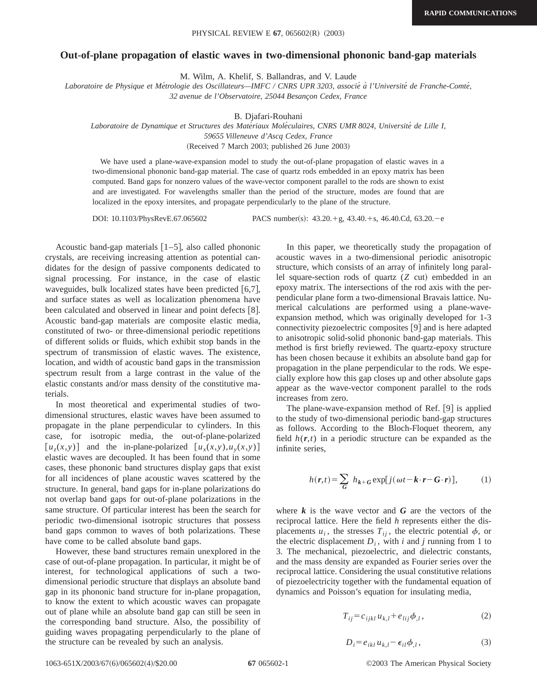## **Out-of-plane propagation of elastic waves in two-dimensional phononic band-gap materials**

M. Wilm, A. Khelif, S. Ballandras, and V. Laude

*Laboratoire de Physique et Me´trologie des Oscillateurs—IMFC / CNRS UPR 3203, associe´ a` l'Universite´ de Franche-Comte´, 32 avenue de l'Observatoire, 25044 Besanc¸on Cedex, France*

B. Djafari-Rouhani

*Laboratoire de Dynamique et Structures des Mate´riaux Mole´culaires, CNRS UMR 8024, Universite´ de Lille I,*

*59655 Villeneuve d'Ascq Cedex, France*

(Received 7 March 2003; published 26 June 2003)

We have used a plane-wave-expansion model to study the out-of-plane propagation of elastic waves in a two-dimensional phononic band-gap material. The case of quartz rods embedded in an epoxy matrix has been computed. Band gaps for nonzero values of the wave-vector component parallel to the rods are shown to exist and are investigated. For wavelengths smaller than the period of the structure, modes are found that are localized in the epoxy intersites, and propagate perpendicularly to the plane of the structure.

DOI: 10.1103/PhysRevE.67.065602 PACS number(s):  $43.20.+g, 43.40.+s, 46.40.Cd, 63.20.-e$ 

Acoustic band-gap materials  $|1-5|$ , also called phononic crystals, are receiving increasing attention as potential candidates for the design of passive components dedicated to signal processing. For instance, in the case of elastic waveguides, bulk localized states have been predicted  $[6,7]$ , and surface states as well as localization phenomena have been calculated and observed in linear and point defects  $[8]$ . Acoustic band-gap materials are composite elastic media, constituted of two- or three-dimensional periodic repetitions of different solids or fluids, which exhibit stop bands in the spectrum of transmission of elastic waves. The existence, location, and width of acoustic band gaps in the transmission spectrum result from a large contrast in the value of the elastic constants and/or mass density of the constitutive materials.

In most theoretical and experimental studies of twodimensional structures, elastic waves have been assumed to propagate in the plane perpendicular to cylinders. In this case, for isotropic media, the out-of-plane-polarized  $[u_x(x, y)]$  and the in-plane-polarized  $[u_y(x, y), u_y(x, y)]$ elastic waves are decoupled. It has been found that in some cases, these phononic band structures display gaps that exist for all incidences of plane acoustic waves scattered by the structure. In general, band gaps for in-plane polarizations do not overlap band gaps for out-of-plane polarizations in the same structure. Of particular interest has been the search for periodic two-dimensional isotropic structures that possess band gaps common to waves of both polarizations. These have come to be called absolute band gaps.

However, these band structures remain unexplored in the case of out-of-plane propagation. In particular, it might be of interest, for technological applications of such a twodimensional periodic structure that displays an absolute band gap in its phononic band structure for in-plane propagation, to know the extent to which acoustic waves can propagate out of plane while an absolute band gap can still be seen in the corresponding band structure. Also, the possibility of guiding waves propagating perpendicularly to the plane of the structure can be revealed by such an analysis.

In this paper, we theoretically study the propagation of acoustic waves in a two-dimensional periodic anisotropic structure, which consists of an array of infinitely long parallel square-section rods of quartz  $(Z \text{ cut})$  embedded in an epoxy matrix. The intersections of the rod axis with the perpendicular plane form a two-dimensional Bravais lattice. Numerical calculations are performed using a plane-waveexpansion method, which was originally developed for 1-3 connectivity piezoelectric composites  $[9]$  and is here adapted to anisotropic solid-solid phononic band-gap materials. This method is first briefly reviewed. The quartz-epoxy structure has been chosen because it exhibits an absolute band gap for propagation in the plane perpendicular to the rods. We especially explore how this gap closes up and other absolute gaps appear as the wave-vector component parallel to the rods increases from zero.

The plane-wave-expansion method of Ref.  $[9]$  is applied to the study of two-dimensional periodic band-gap structures as follows. According to the Bloch-Floquet theorem, any field  $h(r,t)$  in a periodic structure can be expanded as the infinite series,

$$
h(\mathbf{r},t) = \sum_{\mathbf{G}} h_{k+\mathbf{G}} \exp[j(\omega t - \mathbf{k} \cdot \mathbf{r} - \mathbf{G} \cdot \mathbf{r})], \quad (1)
$$

where  $k$  is the wave vector and  $G$  are the vectors of the reciprocal lattice. Here the field *h* represents either the displacements  $u_i$ , the stresses  $T_{ii}$ , the electric potential  $\phi$ , or the electric displacement  $D_i$ , with *i* and *j* running from 1 to 3. The mechanical, piezoelectric, and dielectric constants, and the mass density are expanded as Fourier series over the reciprocal lattice. Considering the usual constitutive relations of piezoelectricity together with the fundamental equation of dynamics and Poisson's equation for insulating media,

$$
T_{ij} = c_{ijkl} u_{k,l} + e_{lij} \phi_{,l},
$$
 (2)

$$
D_i = e_{ikl} u_{k,l} - \epsilon_{il} \phi_{,l}, \qquad (3)
$$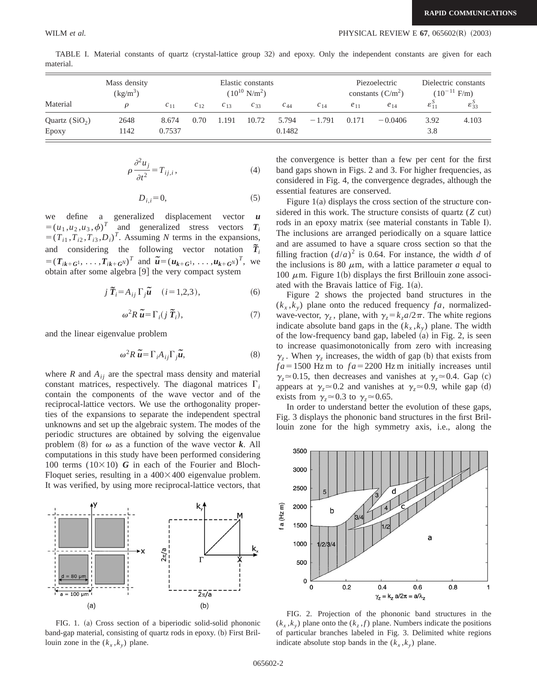|                          | Mass density<br>$\left(\frac{\text{kg}}{\text{m}^3}\right)$ | Elastic constants<br>$(10^{10} \text{ N/m}^2)$ |          |          |          |                 | Piezoelectric<br>constants $(C/m^2)$ |          | Dielectric constants<br>$(10^{-11} \text{ F/m})$ |                    |                             |
|--------------------------|-------------------------------------------------------------|------------------------------------------------|----------|----------|----------|-----------------|--------------------------------------|----------|--------------------------------------------------|--------------------|-----------------------------|
| Material                 |                                                             | $c_{11}$                                       | $c_{12}$ | $c_{13}$ | $c_{33}$ | $c_{44}$        | $c_{14}$                             | $e_{11}$ | $e_{14}$                                         | $\mathcal{E}_{11}$ | $\mathcal{E}_{33}^{\prime}$ |
| Quartz $(SiO2)$<br>Epoxy | 2648<br>142                                                 | 8.674<br>0.7537                                | 0.70     | 1.191    | 10.72    | 5.794<br>0.1482 | $-1.791$                             | 0.171    | $-0.0406$                                        | 3.92<br>3.8        | 4.103                       |

TABLE I. Material constants of quartz (crystal-lattice group 32) and epoxy. Only the independent constants are given for each material.

$$
\rho \frac{\partial^2 u_j}{\partial t^2} = T_{ij,i},\tag{4}
$$

$$
D_{i,i} = 0,\t\t(5)
$$

we define a generalized displacement vector *u*  $=(u_1, u_2, u_3, \phi)^T$  and generalized stress vectors  $T_i$  $=(T_{i1}, T_{i2}, T_{i3}, D_i)^T$ . Assuming *N* terms in the expansions, and considering the following vector notation  $\widetilde{\bm{T}}_i$  $=(T_{ik+G^1}, \ldots, T_{ik+G^N})^T$  and  $\tilde{u} = (u_{k+G^1}, \ldots, u_{k+G^N})^T$ , we obtain after some algebra  $[9]$  the very compact system

$$
j\ \widetilde{T}_i = A_{ij}\Gamma_j \widetilde{u} \quad (i = 1, 2, 3), \tag{6}
$$

$$
\omega^2 R \tilde{\boldsymbol{u}} = \Gamma_i(j \tilde{\boldsymbol{T}}_i), \tag{7}
$$

and the linear eigenvalue problem

$$
\omega^2 R \tilde{\boldsymbol{u}} = \Gamma_i A_{ij} \Gamma_j \tilde{\boldsymbol{u}}, \qquad (8)
$$

where *R* and  $A_{ij}$  are the spectral mass density and material constant matrices, respectively. The diagonal matrices  $\Gamma_i$ contain the components of the wave vector and of the reciprocal-lattice vectors. We use the orthogonality properties of the expansions to separate the independent spectral unknowns and set up the algebraic system. The modes of the periodic structures are obtained by solving the eigenvalue problem  $(8)$  for  $\omega$  as a function of the wave vector *k*. All computations in this study have been performed considering 100 terms  $(10\times10)$  *G* in each of the Fourier and Bloch-Floquet series, resulting in a  $400\times400$  eigenvalue problem. It was verified, by using more reciprocal-lattice vectors, that



FIG. 1. (a) Cross section of a biperiodic solid-solid phononic band-gap material, consisting of quartz rods in epoxy. (b) First Brillouin zone in the  $(k_x, k_y)$  plane.

the convergence is better than a few per cent for the first band gaps shown in Figs. 2 and 3. For higher frequencies, as considered in Fig. 4, the convergence degrades, although the essential features are conserved.

Figure  $1(a)$  displays the cross section of the structure considered in this work. The structure consists of quartz  $(Z \text{ cut})$ rods in an epoxy matrix (see material constants in Table I). The inclusions are arranged periodically on a square lattice and are assumed to have a square cross section so that the filling fraction  $(d/a)^2$  is 0.64. For instance, the width *d* of the inclusions is 80  $\mu$ m, with a lattice parameter *a* equal to 100  $\mu$ m. Figure 1(b) displays the first Brillouin zone associated with the Bravais lattice of Fig.  $1(a)$ .

Figure 2 shows the projected band structures in the  $(k_x, k_y)$  plane onto the reduced frequency  $fa$ , normalizedwave-vector,  $\gamma_z$ , plane, with  $\gamma_z = k_z a/2\pi$ . The white regions indicate absolute band gaps in the  $(k_x, k_y)$  plane. The width of the low-frequency band gap, labeled  $(a)$  in Fig. 2, is seen to increase quasimonotonically from zero with increasing  $\gamma_z$ . When  $\gamma_z$  increases, the width of gap (b) that exists from  $fa = 1500$  Hz m to  $fa = 2200$  Hz m initially increases until  $\gamma$ <sub>z</sub> $\approx$  0.15, then decreases and vanishes at  $\gamma$ <sub>z</sub> $\approx$  0.4. Gap (c) appears at  $\gamma$ <sub>z</sub> $\approx$  0.2 and vanishes at  $\gamma$ <sub>z</sub> $\approx$  0.9, while gap (d) exists from  $\gamma_z \approx 0.3$  to  $\gamma_z \approx 0.65$ .

In order to understand better the evolution of these gaps, Fig. 3 displays the phononic band structures in the first Brillouin zone for the high symmetry axis, i.e., along the



FIG. 2. Projection of the phononic band structures in the  $(k_x, k_y)$  plane onto the  $(k_z, f)$  plane. Numbers indicate the positions of particular branches labeled in Fig. 3. Delimited white regions indicate absolute stop bands in the  $(k_x, k_y)$  plane.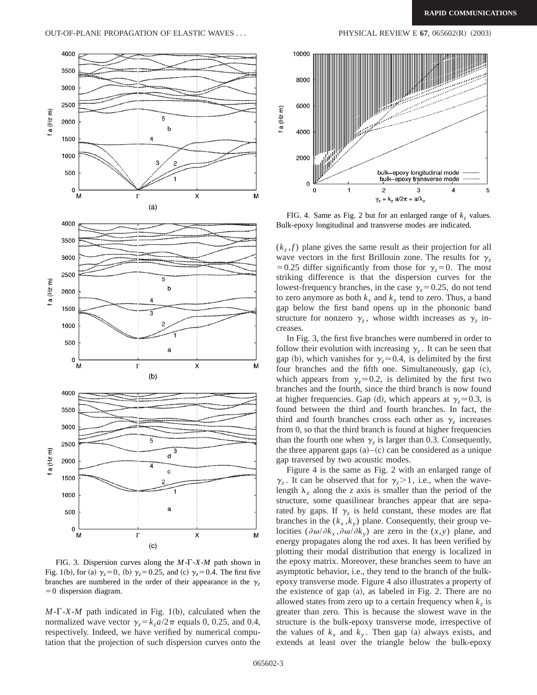

FIG. 3. Dispersion curves along the *M*-G-*X*-*M* path shown in Fig. 1(b), for (a)  $\gamma_z = 0$ , (b)  $\gamma_z = 0.25$ , and (c)  $\gamma_z = 0.4$ . The first five branches are numbered in the order of their appearance in the  $\gamma$  $=0$  dispersion diagram.

 $M-\Gamma$ -*X*-*M* path indicated in Fig. 1(b), calculated when the normalized wave vector  $\gamma_z = k_z a/2\pi$  equals 0, 0.25, and 0.4, respectively. Indeed, we have verified by numerical computation that the projection of such dispersion curves onto the



FIG. 4. Same as Fig. 2 but for an enlarged range of  $k_z$  values. Bulk-epoxy longitudinal and transverse modes are indicated.

 $(k, f)$  plane gives the same result as their projection for all wave vectors in the first Brillouin zone. The results for  $\gamma$ <sub>z</sub> =0.25 differ significantly from those for  $\gamma$ <sub>z</sub>=0. The most striking difference is that the dispersion curves for the lowest-frequency branches, in the case  $\gamma$ <sub>z</sub>=0.25, do not tend to zero anymore as both  $k_x$  and  $k_y$  tend to zero. Thus, a band gap below the first band opens up in the phononic band structure for nonzero  $\gamma_z$ , whose width increases as  $\gamma_z$  increases.

In Fig. 3, the first five branches were numbered in order to follow their evolution with increasing  $\gamma$ <sub>z</sub>. It can be seen that gap (b), which vanishes for  $\gamma_z \approx 0.4$ , is delimited by the first four branches and the fifth one. Simultaneously, gap  $(c)$ , which appears from  $\gamma \approx 0.2$ , is delimited by the first two branches and the fourth, since the third branch is now found at higher frequencies. Gap (d), which appears at  $\gamma$ <sup>*z*</sup>=0.3, is found between the third and fourth branches. In fact, the third and fourth branches cross each other as  $\gamma$ <sub>z</sub> increases from 0, so that the third branch is found at higher frequencies than the fourth one when  $\gamma$ <sub>z</sub> is larger than 0.3. Consequently, the three apparent gaps  $(a)$ – $(c)$  can be considered as a unique gap traversed by two acoustic modes.

Figure 4 is the same as Fig. 2 with an enlarged range of  $\gamma_z$ . It can be observed that for  $\gamma_z > 1$ , i.e., when the wavelength  $\lambda$ <sub>z</sub> along the *z* axis is smaller than the period of the structure, some quasilinear branches appear that are separated by gaps. If  $\gamma_z$  is held constant, these modes are flat branches in the  $(k_x, k_y)$  plane. Consequently, their group velocities  $(\partial \omega/\partial k_x, \partial \omega/\partial k_y)$  are zero in the  $(x, y)$  plane, and energy propagates along the rod axes. It has been verified by plotting their modal distribution that energy is localized in the epoxy matrix. Moreover, these branches seem to have an asymptotic behavior, i.e., they tend to the branch of the bulkepoxy transverse mode. Figure 4 also illustrates a property of the existence of gap  $(a)$ , as labeled in Fig. 2. There are no allowed states from zero up to a certain frequency when  $k_z$  is greater than zero. This is because the slowest wave in the structure is the bulk-epoxy transverse mode, irrespective of the values of  $k_x$  and  $k_y$ . Then gap (a) always exists, and extends at least over the triangle below the bulk-epoxy